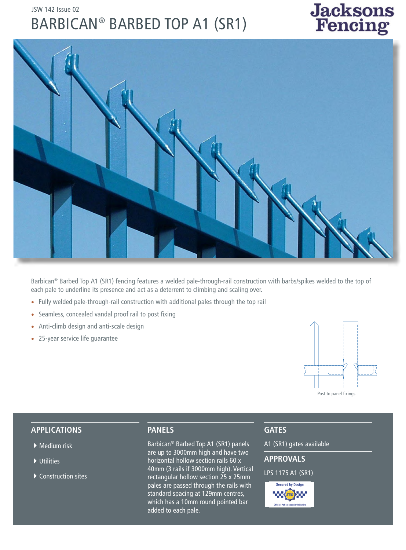# JSW 142 Issue 02 BARBICAN ® BARBED TOP A1 (SR1)





Barbican® Barbed Top A1 (SR1) fencing features a welded pale-through-rail construction with barbs/spikes welded to the top of each pale to underline its presence and act as a deterrent to climbing and scaling over.

- Fully welded pale-through-rail construction with additional pales through the top rail
- Seamless, concealed vandal proof rail to post fixing
- Anti-climb design and anti-scale design
- 25-year service life guarantee



#### **APPLICATIONS**

- $\blacktriangleright$  Medium risk
- $\blacktriangleright$  Utilities
- $\blacktriangleright$  Construction sites

#### **PANELS**

Barbican® Barbed Top A1 (SR1) panels are up to 3000mm high and have two horizontal hollow section rails 60 x 40mm (3 rails if 3000mm high). Vertical rectangular hollow section 25 x 25mm pales are passed through the rails with standard spacing at 129mm centres, which has a 10mm round pointed bar added to each pale.

## **GATES**

A1 (SR1) gates available

### **APPROVALS**

#### LPS 1175 A1 (SR1)